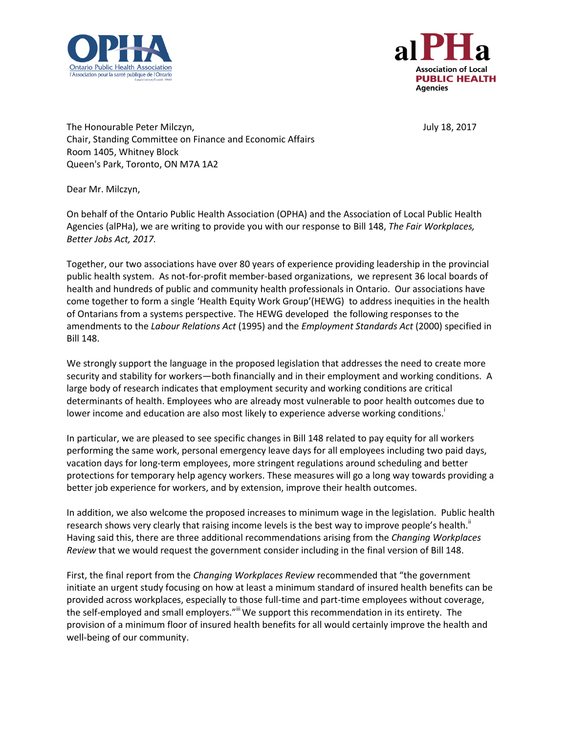



The Honourable Peter Milczyn, The Honourable Peter Milczyn, Chair, Standing Committee on Finance and Economic Affairs Room 1405, Whitney Block Queen's Park, Toronto, ON M7A 1A2

Dear Mr. Milczyn,

On behalf of the Ontario Public Health Association (OPHA) and the Association of Local Public Health Agencies (alPHa), we are writing to provide you with our response to Bill 148, *The Fair Workplaces, Better Jobs Act, 2017.*

Together, our two associations have over 80 years of experience providing leadership in the provincial public health system. As not-for-profit member-based organizations, we represent 36 local boards of health and hundreds of public and community health professionals in Ontario. Our associations have come together to form a single 'Health Equity Work Group'(HEWG) to address inequities in the health of Ontarians from a systems perspective. The HEWG developed the following responses to the amendments to the *Labour Relations Act* (1995) and the *Employment Standards Act* (2000) specified in Bill 148.

We strongly support the language in the proposed legislation that addresses the need to create more security and stability for workers—both financially and in their employment and working conditions. A large body of research indicates that employment security and working conditions are critical determinants of health. Employees who are already most vulnerable to poor health outcomes due to lower income and education are also most likely to experience adverse working conditions.

In particular, we are pleased to see specific changes in Bill 148 related to pay equity for all workers performing the same work, personal emergency leave days for all employees including two paid days, vacation days for long-term employees, more stringent regulations around scheduling and better protections for temporary help agency workers. These measures will go a long way towards providing a better job experience for workers, and by extension, improve their health outcomes.

In addition, we also welcome the proposed increases to minimum wage in the legislation. Public health research shows very clearly that raising income levels is the best way to improve people's health." Having said this, there are three additional recommendations arising from the *Changing Workplaces Review* that we would request the government consider including in the final version of Bill 148.

First, the final report from the *Changing Workplaces Review* recommended that "the government initiate an urgent study focusing on how at least a minimum standard of insured health benefits can be provided across workplaces, especially to those full-time and part-time employees without coverage, the self-employed and small employers."<sup>III</sup> We support this recommendation in its entirety. The provision of a minimum floor of insured health benefits for all would certainly improve the health and well-being of our community.